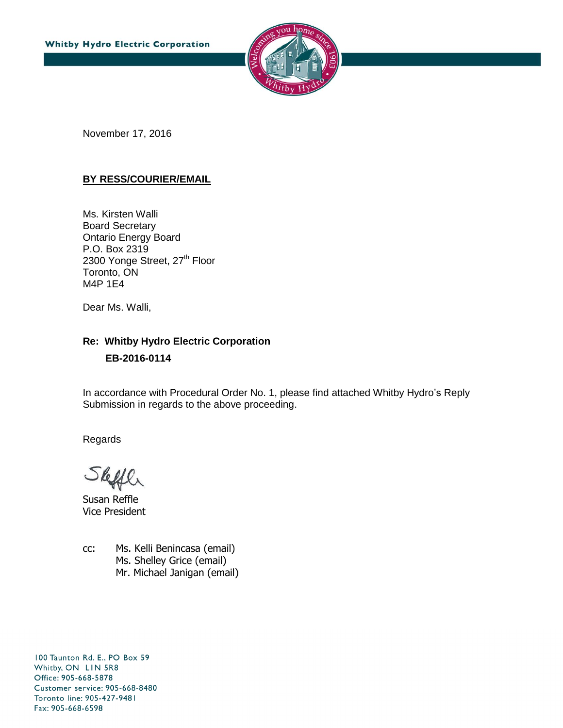

November 17, 2016

#### **BY RESS/COURIER/EMAIL**

Ms. Kirsten Walli Board Secretary Ontario Energy Board P.O. Box 2319 2300 Yonge Street, 27<sup>th</sup> Floor Toronto, ON M4P 1E4

Dear Ms. Walli,

### **Re: Whitby Hydro Electric Corporation EB-2016-0114**

In accordance with Procedural Order No. 1, please find attached Whitby Hydro's Reply Submission in regards to the above proceeding.

Regards

 $\Omega$ 

Susan Reffle Vice President

cc: Ms. Kelli Benincasa (email) Ms. Shelley Grice (email) Mr. Michael Janigan (email)

100 Taunton Rd. E., PO Box 59 Whitby, ON LIN 5R8 Office: 905-668-5878 Customer service: 905-668-8480 Toronto line: 905-427-9481 Fax: 905-668-6598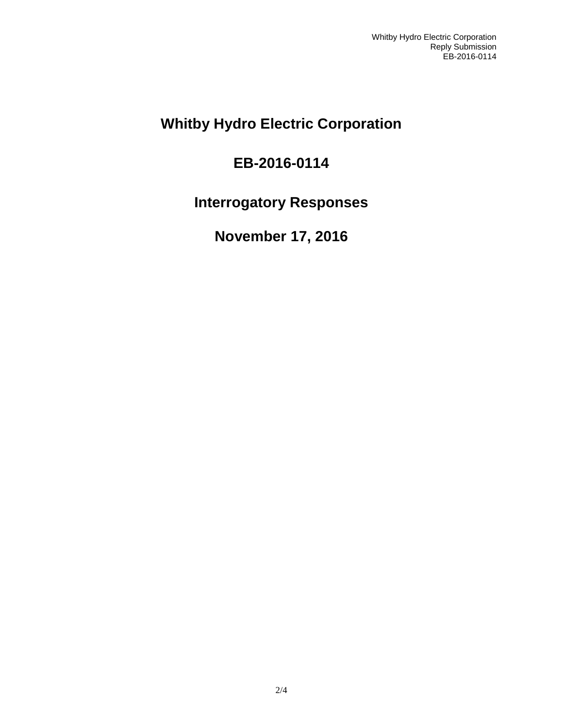## **Whitby Hydro Electric Corporation**

# **EB-2016-0114**

## **Interrogatory Responses**

# **November 17, 2016**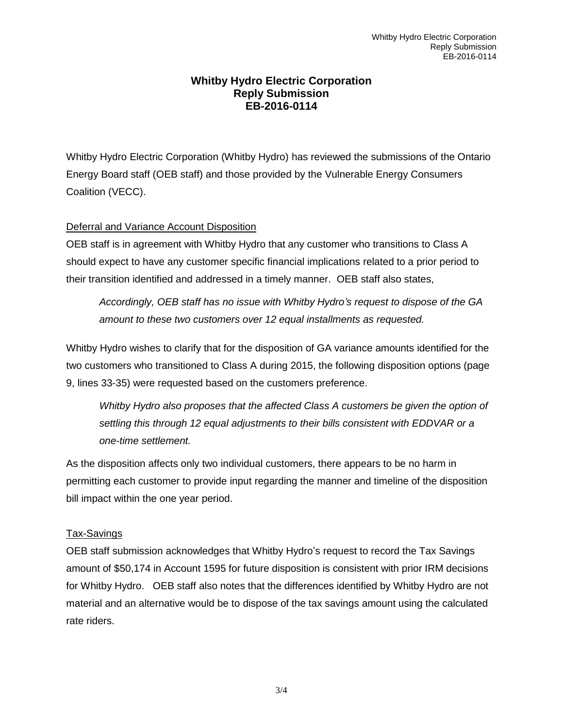#### **Whitby Hydro Electric Corporation Reply Submission EB-2016-0114**

Whitby Hydro Electric Corporation (Whitby Hydro) has reviewed the submissions of the Ontario Energy Board staff (OEB staff) and those provided by the Vulnerable Energy Consumers Coalition (VECC).

#### Deferral and Variance Account Disposition

OEB staff is in agreement with Whitby Hydro that any customer who transitions to Class A should expect to have any customer specific financial implications related to a prior period to their transition identified and addressed in a timely manner. OEB staff also states,

*Accordingly, OEB staff has no issue with Whitby Hydro's request to dispose of the GA amount to these two customers over 12 equal installments as requested.*

Whitby Hydro wishes to clarify that for the disposition of GA variance amounts identified for the two customers who transitioned to Class A during 2015, the following disposition options (page 9, lines 33-35) were requested based on the customers preference.

*Whitby Hydro also proposes that the affected Class A customers be given the option of settling this through 12 equal adjustments to their bills consistent with EDDVAR or a one-time settlement.*

As the disposition affects only two individual customers, there appears to be no harm in permitting each customer to provide input regarding the manner and timeline of the disposition bill impact within the one year period.

#### Tax-Savings

OEB staff submission acknowledges that Whitby Hydro's request to record the Tax Savings amount of \$50,174 in Account 1595 for future disposition is consistent with prior IRM decisions for Whitby Hydro. OEB staff also notes that the differences identified by Whitby Hydro are not material and an alternative would be to dispose of the tax savings amount using the calculated rate riders.